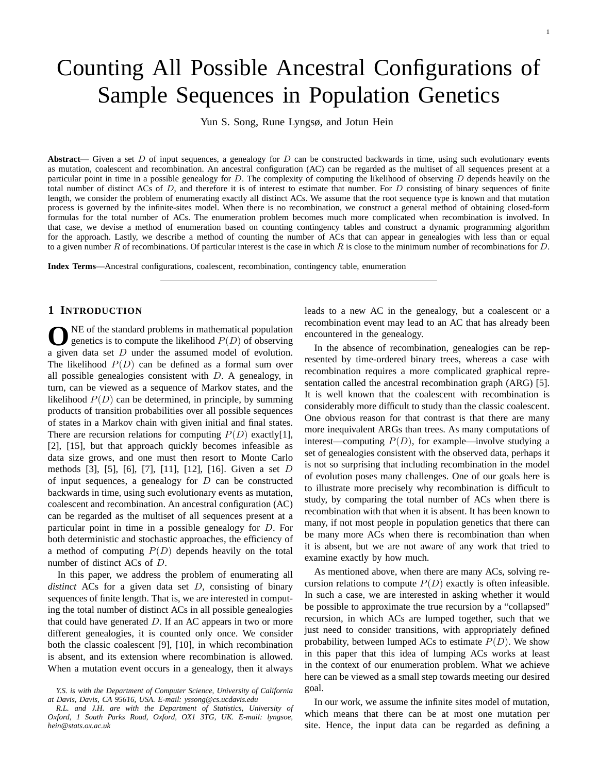# Counting All Possible Ancestral Configurations of Sample Sequences in Population Genetics

Yun S. Song, Rune Lyngsø, and Jotun Hein

**Abstract**— Given a set D of input sequences, a genealogy for D can be constructed backwards in time, using such evolutionary events as mutation, coalescent and recombination. An ancestral configuration (AC) can be regarded as the multiset of all sequences present at a particular point in time in a possible genealogy for  $D$ . The complexity of computing the likelihood of observing  $D$  depends heavily on the total number of distinct ACs of  $D$ , and therefore it is of interest to estimate that number. For  $D$  consisting of binary sequences of finite length, we consider the problem of enumerating exactly all distinct ACs. We assume that the root sequence type is known and that mutation process is governed by the infinite-sites model. When there is no recombination, we construct a general method of obtaining closed-form formulas for the total number of ACs. The enumeration problem becomes much more complicated when recombination is involved. In that case, we devise a method of enumeration based on counting contingency tables and construct a dynamic programming algorithm for the approach. Lastly, we describe a method of counting the number of ACs that can appear in genealogies with less than or equal to a given number R of recombinations. Of particular interest is the case in which R is close to the minimum number of recombinations for D.

**Index Terms**—Ancestral configurations, coalescent, recombination, contingency table, enumeration

# **1 INTRODUCTION**

 $\sum$  NE of the standard problems in mathematical population<br>genetics is to compute the likelihood  $P(D)$  of observing NE of the standard problems in mathematical population a given data set D under the assumed model of evolution. The likelihood  $P(D)$  can be defined as a formal sum over all possible genealogies consistent with  $D$ . A genealogy, in turn, can be viewed as a sequence of Markov states, and the likelihood  $P(D)$  can be determined, in principle, by summing products of transition probabilities over all possible sequences of states in a Markov chain with given initial and final states. There are recursion relations for computing  $P(D)$  exactly[1], [2], [15], but that approach quickly becomes infeasible as data size grows, and one must then resort to Monte Carlo methods [3], [5], [6], [7], [11], [12], [16]. Given a set D of input sequences, a genealogy for  $D$  can be constructed backwards in time, using such evolutionary events as mutation, coalescent and recombination. An ancestral configuration (AC) can be regarded as the multiset of all sequences present at a particular point in time in a possible genealogy for D. For both deterministic and stochastic approaches, the efficiency of a method of computing  $P(D)$  depends heavily on the total number of distinct ACs of D.

In this paper, we address the problem of enumerating all *distinct* ACs for a given data set D, consisting of binary sequences of finite length. That is, we are interested in computing the total number of distinct ACs in all possible genealogies that could have generated  $D$ . If an AC appears in two or more different genealogies, it is counted only once. We consider both the classic coalescent [9], [10], in which recombination is absent, and its extension where recombination is allowed. When a mutation event occurs in a genealogy, then it always leads to a new AC in the genealogy, but a coalescent or a recombination event may lead to an AC that has already been encountered in the genealogy.

In the absence of recombination, genealogies can be represented by time-ordered binary trees, whereas a case with recombination requires a more complicated graphical representation called the ancestral recombination graph (ARG) [5]. It is well known that the coalescent with recombination is considerably more difficult to study than the classic coalescent. One obvious reason for that contrast is that there are many more inequivalent ARGs than trees. As many computations of interest—computing  $P(D)$ , for example—involve studying a set of genealogies consistent with the observed data, perhaps it is not so surprising that including recombination in the model of evolution poses many challenges. One of our goals here is to illustrate more precisely why recombination is difficult to study, by comparing the total number of ACs when there is recombination with that when it is absent. It has been known to many, if not most people in population genetics that there can be many more ACs when there is recombination than when it is absent, but we are not aware of any work that tried to examine exactly by how much.

As mentioned above, when there are many ACs, solving recursion relations to compute  $P(D)$  exactly is often infeasible. In such a case, we are interested in asking whether it would be possible to approximate the true recursion by a "collapsed" recursion, in which ACs are lumped together, such that we just need to consider transitions, with appropriately defined probability, between lumped ACs to estimate  $P(D)$ . We show in this paper that this idea of lumping ACs works at least in the context of our enumeration problem. What we achieve here can be viewed as a small step towards meeting our desired goal.

In our work, we assume the infinite sites model of mutation, which means that there can be at most one mutation per site. Hence, the input data can be regarded as defining a

*Y.S. is with the Department of Computer Science, University of California at Davis, Davis, CA 95616, USA. E-mail: yssong@cs.ucdavis.edu*

*R.L. and J.H. are with the Department of Statistics, University of Oxford, 1 South Parks Road, Oxford, OX1 3TG, UK. E-mail: lyngsoe, hein@stats.ox.ac.uk*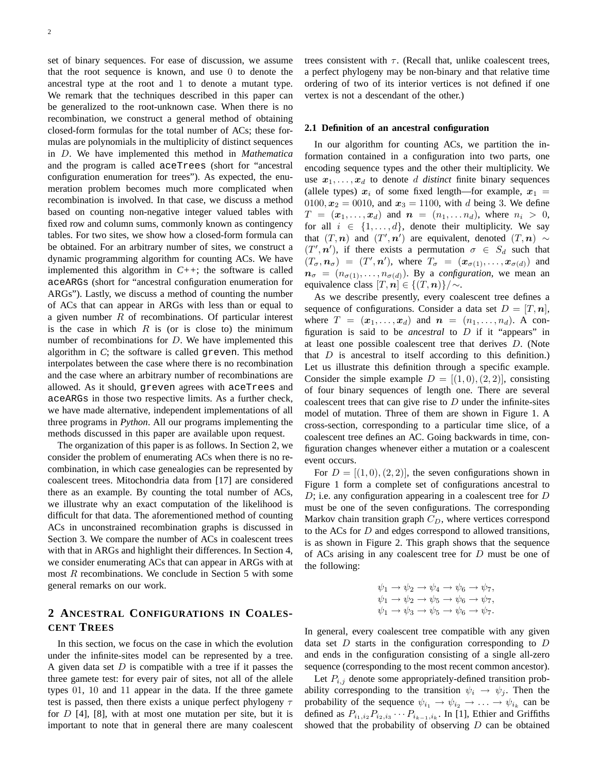set of binary sequences. For ease of discussion, we assume that the root sequence is known, and use 0 to denote the ancestral type at the root and 1 to denote a mutant type. We remark that the techniques described in this paper can be generalized to the root-unknown case. When there is no recombination, we construct a general method of obtaining closed-form formulas for the total number of ACs; these formulas are polynomials in the multiplicity of distinct sequences in D. We have implemented this method in *Mathematica* and the program is called aceTrees (short for "ancestral configuration enumeration for trees"). As expected, the enumeration problem becomes much more complicated when recombination is involved. In that case, we discuss a method based on counting non-negative integer valued tables with fixed row and column sums, commonly known as contingency tables. For two sites, we show how a closed-form formula can be obtained. For an arbitrary number of sites, we construct a dynamic programming algorithm for counting ACs. We have implemented this algorithm in *C++*; the software is called aceARGs (short for "ancestral configuration enumeration for ARGs"). Lastly, we discuss a method of counting the number of ACs that can appear in ARGs with less than or equal to a given number  $R$  of recombinations. Of particular interest is the case in which  $R$  is (or is close to) the minimum number of recombinations for D. We have implemented this algorithm in *C*; the software is called greven. This method interpolates between the case where there is no recombination and the case where an arbitrary number of recombinations are allowed. As it should, greven agrees with aceTrees and aceARGs in those two respective limits. As a further check, we have made alternative, independent implementations of all three programs in *Python*. All our programs implementing the methods discussed in this paper are available upon request.

The organization of this paper is as follows. In Section 2, we consider the problem of enumerating ACs when there is no recombination, in which case genealogies can be represented by coalescent trees. Mitochondria data from [17] are considered there as an example. By counting the total number of ACs, we illustrate why an exact computation of the likelihood is difficult for that data. The aforementioned method of counting ACs in unconstrained recombination graphs is discussed in Section 3. We compare the number of ACs in coalescent trees with that in ARGs and highlight their differences. In Section 4, we consider enumerating ACs that can appear in ARGs with at most R recombinations. We conclude in Section 5 with some general remarks on our work.

# **2 ANCESTRAL CONFIGURATIONS IN COALES-CENT TREES**

In this section, we focus on the case in which the evolution under the infinite-sites model can be represented by a tree. A given data set  $D$  is compatible with a tree if it passes the three gamete test: for every pair of sites, not all of the allele types 01, 10 and 11 appear in the data. If the three gamete test is passed, then there exists a unique perfect phylogeny  $\tau$ for  $D$  [4], [8], with at most one mutation per site, but it is important to note that in general there are many coalescent trees consistent with  $\tau$ . (Recall that, unlike coalescent trees, a perfect phylogeny may be non-binary and that relative time ordering of two of its interior vertices is not defined if one vertex is not a descendant of the other.)

#### **2.1 Definition of an ancestral configuration**

In our algorithm for counting ACs, we partition the information contained in a configuration into two parts, one encoding sequence types and the other their multiplicity. We use  $x_1, \ldots, x_d$  to denote d distinct finite binary sequences (allele types)  $x_i$  of some fixed length—for example,  $x_1 =$ 0100,  $x_2 = 0010$ , and  $x_3 = 1100$ , with d being 3. We define  $T = (\mathbf{x}_1, \dots, \mathbf{x}_d)$  and  $\mathbf{n} = (n_1, \dots, n_d)$ , where  $n_i > 0$ , for all  $i \in \{1, \ldots, d\}$ , denote their multiplicity. We say that  $(T, n)$  and  $(T', n')$  are equivalent, denoted  $(T, n) \sim$  $(T', n')$ , if there exists a permutation  $\sigma \in S_d$  such that  $(T_{\sigma}, n_{\sigma}) = (T', n')$ , where  $T_{\sigma} = (x_{\sigma(1)}, \ldots, x_{\sigma(d)})$  and  $n_{\sigma} = (n_{\sigma(1)}, \ldots, n_{\sigma(d)})$ . By a *configuration*, we mean an equivalence class  $[T, n] \in \{(T, n)\}/\sim$ .

As we describe presently, every coalescent tree defines a sequence of configurations. Consider a data set  $D = [T, n]$ , where  $T = (\mathbf{x}_1, \dots, \mathbf{x}_d)$  and  $\mathbf{n} = (n_1, \dots, n_d)$ . A configuration is said to be *ancestral* to D if it "appears" in at least one possible coalescent tree that derives D. (Note that  $D$  is ancestral to itself according to this definition.) Let us illustrate this definition through a specific example. Consider the simple example  $D = [(1,0),(2,2)]$ , consisting of four binary sequences of length one. There are several coalescent trees that can give rise to  $D$  under the infinite-sites model of mutation. Three of them are shown in Figure 1. A cross-section, corresponding to a particular time slice, of a coalescent tree defines an AC. Going backwards in time, configuration changes whenever either a mutation or a coalescent event occurs.

For  $D = [(1, 0), (2, 2)]$ , the seven configurations shown in Figure 1 form a complete set of configurations ancestral to  $D$ ; i.e. any configuration appearing in a coalescent tree for  $D$ must be one of the seven configurations. The corresponding Markov chain transition graph  $C_D$ , where vertices correspond to the ACs for  $D$  and edges correspond to allowed transitions, is as shown in Figure 2. This graph shows that the sequence of ACs arising in any coalescent tree for D must be one of the following:

$$
\psi_1 \to \psi_2 \to \psi_4 \to \psi_6 \to \psi_7,
$$
  
\n
$$
\psi_1 \to \psi_2 \to \psi_5 \to \psi_6 \to \psi_7,
$$
  
\n
$$
\psi_1 \to \psi_3 \to \psi_5 \to \psi_6 \to \psi_7.
$$

In general, every coalescent tree compatible with any given data set  $D$  starts in the configuration corresponding to  $D$ and ends in the configuration consisting of a single all-zero sequence (corresponding to the most recent common ancestor).

Let  $P_{i,j}$  denote some appropriately-defined transition probability corresponding to the transition  $\psi_i \to \psi_j$ . Then the probability of the sequence  $\psi_{i_1} \to \psi_{i_2} \to \ldots \to \psi_{i_k}$  can be defined as  $P_{i_1,i_2}P_{i_2,i_3}\cdots P_{i_{k-1},i_k}$ . In [1], Ethier and Griffiths showed that the probability of observing  $D$  can be obtained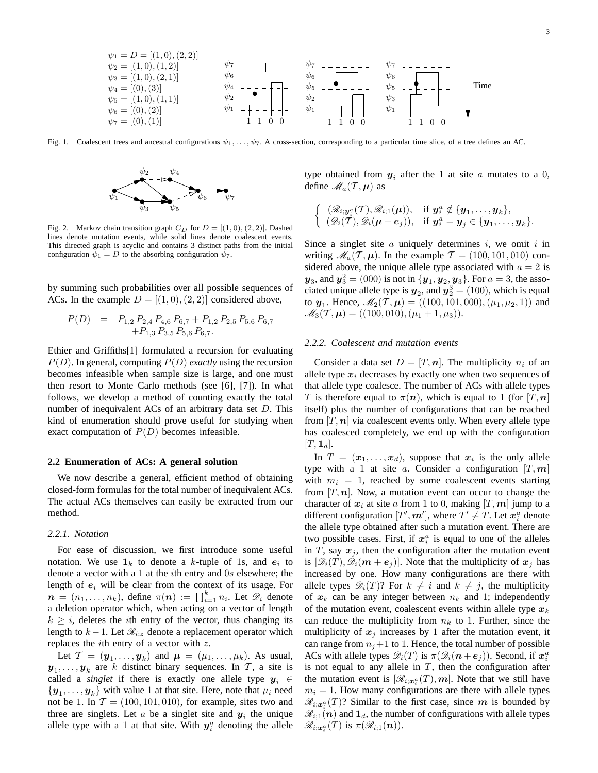Time ψ<sup>6</sup> ψ<sup>7</sup> ψ<sup>2</sup> ψ<sup>1</sup> 1 1 0 0 1 0 0 ψ<sup>5</sup> ψ<sup>6</sup> ψ<sup>7</sup> ψ<sup>2</sup> ψ<sup>1</sup> 1 ψ<sup>5</sup> ψ<sup>6</sup> ψ<sup>7</sup> ψ<sup>3</sup> ψ<sup>1</sup> 1 1 0 0 ψ<sup>2</sup> = [(1, 0), (1, 2)] ψ<sup>3</sup> = [(1, 0), (2, 1)] ψ<sup>4</sup> = [(0), (3)] ψ<sup>5</sup> = [(1, 0), (1, 1)] ψ<sup>6</sup> = [(0), (2)] ψ<sup>7</sup> = [(0), (1)] ψ<sup>4</sup>

Fig. 1. Coalescent trees and ancestral configurations  $\psi_1, \ldots, \psi_7$ . A cross-section, corresponding to a particular time slice, of a tree defines an AC.



 $[(1, 0), (0, 0)]$ 

Fig. 2. Markov chain transition graph  $C_D$  for  $D = [(1, 0), (2, 2)]$ . Dashed lines denote mutation events, while solid lines denote coalescent events. This directed graph is acyclic and contains 3 distinct paths from the initial configuration  $\psi_1 = D$  to the absorbing configuration  $\psi_7$ .

by summing such probabilities over all possible sequences of ACs. In the example  $D = [(1, 0), (2, 2)]$  considered above,

$$
P(D) = P_{1,2} P_{2,4} P_{4,6} P_{6,7} + P_{1,2} P_{2,5} P_{5,6} P_{6,7} + P_{1,3} P_{3,5} P_{5,6} P_{6,7}.
$$

Ethier and Griffiths[1] formulated a recursion for evaluating P(D). In general, computing P(D) *exactly* using the recursion becomes infeasible when sample size is large, and one must then resort to Monte Carlo methods (see [6], [7]). In what follows, we develop a method of counting exactly the total number of inequivalent ACs of an arbitrary data set D. This kind of enumeration should prove useful for studying when exact computation of  $P(D)$  becomes infeasible.

#### **2.2 Enumeration of ACs: A general solution**

We now describe a general, efficient method of obtaining closed-form formulas for the total number of inequivalent ACs. The actual ACs themselves can easily be extracted from our method.

#### *2.2.1. Notation*

For ease of discussion, we first introduce some useful notation. We use  $\mathbf{1}_k$  to denote a k-tuple of 1s, and  $e_i$  to denote a vector with a 1 at the ith entry and 0s elsewhere; the length of  $e_i$  will be clear from the context of its usage. For  $\mathbf{n} = (n_1, \ldots, n_k)$ , define  $\pi(\mathbf{n}) := \prod_{i=1}^k n_i$ . Let  $\mathscr{D}_i$  denote a deletion operator which, when acting on a vector of length  $k \geq i$ , deletes the *i*th entry of the vector, thus changing its length to  $k-1$ . Let  $\mathcal{R}_{i,z}$  denote a replacement operator which replaces the *i*th entry of a vector with  $z$ .

Let  $\mathcal{T} = (\mathbf{y}_1, \dots, \mathbf{y}_k)$  and  $\boldsymbol{\mu} = (\mu_1, \dots, \mu_k)$ . As usual,  $y_1, \ldots, y_k$  are k distinct binary sequences. In T, a site is called a *singlet* if there is exactly one allele type  $y_i \in$  $\{y_1, \ldots, y_k\}$  with value 1 at that site. Here, note that  $\mu_i$  need not be 1. In  $T = (100, 101, 010)$ , for example, sites two and three are singlets. Let a be a singlet site and  $y_i$  the unique allele type with a 1 at that site. With  $y_i^a$  denoting the allele type obtained from  $y_i$  after the 1 at site a mutates to a 0, define  $\mathscr{M}_a(\mathcal{T}, \mu)$  as

$$
\begin{cases}\n(\mathscr{R}_{i;\mathbf{y}_i^a}(T),\mathscr{R}_{i;1}(\boldsymbol{\mu})), & \text{if } \mathbf{y}_i^a \notin {\{\mathbf{y}_1,\ldots,\mathbf{y}_k\}},\\ \n(\mathscr{D}_i(T),\mathscr{D}_i(\boldsymbol{\mu}+e_j)), & \text{if } \mathbf{y}_i^a = \mathbf{y}_j \in {\{\mathbf{y}_1,\ldots,\mathbf{y}_k\}}.\n\end{cases}
$$

Since a singlet site  $a$  uniquely determines  $i$ , we omit  $i$  in writing  $\mathcal{M}_a(\mathcal{T}, \mu)$ . In the example  $\mathcal{T} = (100, 101, 010)$  considered above, the unique allele type associated with  $a = 2$  is  $\mathbf{y}_3$ , and  $\mathbf{y}_3^2 = (000)$  is not in  $\{\mathbf{y}_1, \mathbf{y}_2, \mathbf{y}_3\}$ . For  $a = 3$ , the associated unique allele type is  $y_2$ , and  $y_2^3 = (100)$ , which is equal to  $y_1$ . Hence,  $\mathcal{M}_2(\mathcal{T}, \mu) = ((100, 101, 000), (\mu_1, \mu_2, 1))$  and  $\mathscr{M}_3(\mathcal{T}, \mu) = ((100, 010), (\mu_1 + 1, \mu_3)).$ 

#### *2.2.2. Coalescent and mutation events*

Consider a data set  $D = [T, n]$ . The multiplicity  $n_i$  of an allele type  $x_i$  decreases by exactly one when two sequences of that allele type coalesce. The number of ACs with allele types T is therefore equal to  $\pi(n)$ , which is equal to 1 (for  $[T, n]$ ) itself) plus the number of configurations that can be reached from  $[T, n]$  via coalescent events only. When every allele type has coalesced completely, we end up with the configuration  $[T, \mathbf{1}_d].$ 

In  $T = (x_1, \ldots, x_d)$ , suppose that  $x_i$  is the only allele type with a 1 at site a. Consider a configuration  $[T, m]$ with  $m_i = 1$ , reached by some coalescent events starting from  $[T, n]$ . Now, a mutation event can occur to change the character of  $x_i$  at site a from 1 to 0, making  $[T, m]$  jump to a different configuration  $[T', m']$ , where  $T' \neq T$ . Let  $x_i^a$  denote the allele type obtained after such a mutation event. There are two possible cases. First, if  $x_i^a$  is equal to one of the alleles in T, say  $x_j$ , then the configuration after the mutation event is  $[\mathscr{D}_i(T), \mathscr{D}_i(m + e_j)]$ . Note that the multiplicity of  $x_j$  has increased by one. How many configurations are there with allele types  $\mathscr{D}_i(T)$ ? For  $k \neq i$  and  $k \neq j$ , the multiplicity of  $x_k$  can be any integer between  $n_k$  and 1; independently of the mutation event, coalescent events within allele type  $x_k$ can reduce the multiplicity from  $n_k$  to 1. Further, since the multiplicity of  $x_j$  increases by 1 after the mutation event, it can range from  $n_j+1$  to 1. Hence, the total number of possible ACs with allele types  $\mathcal{D}_i(T)$  is  $\pi(\mathcal{D}_i(n + e_j))$ . Second, if  $x_i^a$ is not equal to any allele in  $T$ , then the configuration after the mutation event is  $[\mathcal{R}_{i;\boldsymbol{x}_{i}^{a}}(T),\boldsymbol{m}]$ . Note that we still have  $m<sub>i</sub> = 1$ . How many configurations are there with allele types  $\mathscr{R}_{i;\boldsymbol{x}_{i}^{a}}(T)$ ? Similar to the first case, since  $\boldsymbol{m}$  is bounded by  $\mathcal{R}_{i;1}(n)$  and  $\mathbf{1}_d$ , the number of configurations with allele types  $\mathscr{R}_{i;\boldsymbol{x}^{a}_{i}}(T)$  is  $\pi(\mathscr{R}_{i;1}(\boldsymbol{n})).$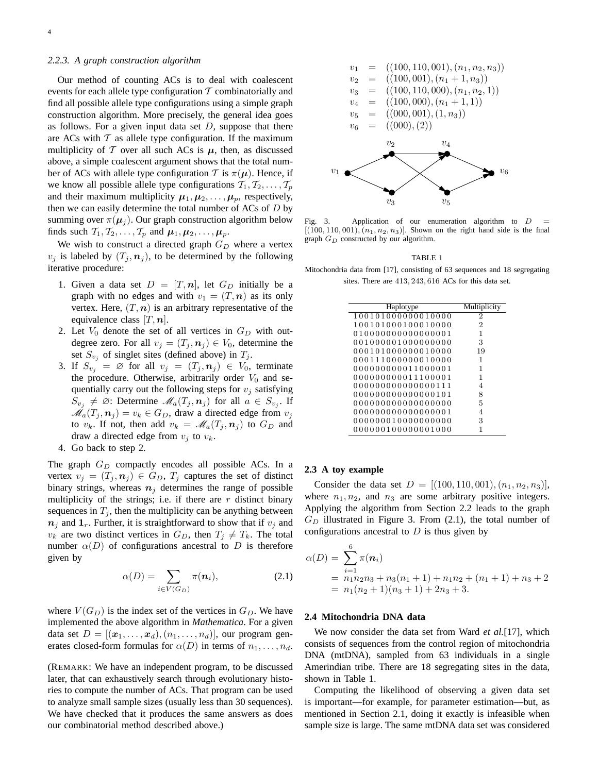#### *2.2.3. A graph construction algorithm*

Our method of counting ACs is to deal with coalescent events for each allele type configuration  $T$  combinatorially and find all possible allele type configurations using a simple graph construction algorithm. More precisely, the general idea goes as follows. For a given input data set  $D$ , suppose that there are ACs with  $T$  as allele type configuration. If the maximum multiplicity of  $T$  over all such ACs is  $\mu$ , then, as discussed above, a simple coalescent argument shows that the total number of ACs with allele type configuration T is  $\pi(\mu)$ . Hence, if we know all possible allele type configurations  $\mathcal{T}_1, \mathcal{T}_2, \ldots, \mathcal{T}_p$ and their maximum multiplicity  $\mu_1, \mu_2, \ldots, \mu_p$ , respectively, then we can easily determine the total number of ACs of  $D$  by summing over  $\pi(\mu_j)$ . Our graph construction algorithm below finds such  $\mathcal{T}_1, \mathcal{T}_2, \ldots, \mathcal{T}_p$  and  $\mu_1, \mu_2, \ldots, \mu_p$ .

We wish to construct a directed graph  $G_D$  where a vertex  $v_i$  is labeled by  $(T_i, n_i)$ , to be determined by the following iterative procedure:

- 1. Given a data set  $D = [T, n]$ , let  $G_D$  initially be a graph with no edges and with  $v_1 = (T, n)$  as its only vertex. Here,  $(T, n)$  is an arbitrary representative of the equivalence class  $[T, n]$ .
- 2. Let  $V_0$  denote the set of all vertices in  $G_D$  with outdegree zero. For all  $v_j = (T_j, n_j) \in V_0$ , determine the set  $S_{v_i}$  of singlet sites (defined above) in  $T_i$ .
- 3. If  $S_{v_i} = \emptyset$  for all  $v_j = (T_j, n_j) \in V_0$ , terminate the procedure. Otherwise, arbitrarily order  $V_0$  and sequentially carry out the following steps for  $v_i$  satisfying  $S_{v_j} \neq \emptyset$ : Determine  $\mathcal{M}_a(T_j, n_j)$  for all  $a \in S_{v_j}$ . If  $\mathcal{M}_a(T_j, n_j) = v_k \in G_D$ , draw a directed edge from  $v_j$ to  $v_k$ . If not, then add  $v_k = \mathcal{M}_a(T_i, n_i)$  to  $G_D$  and draw a directed edge from  $v_i$  to  $v_k$ .
- 4. Go back to step 2.

The graph  $G_D$  compactly encodes all possible ACs. In a vertex  $v_j = (T_j, n_j) \in G_D$ ,  $T_j$  captures the set of distinct binary strings, whereas  $n_i$  determines the range of possible multiplicity of the strings; i.e. if there are  $r$  distinct binary sequences in  $T_i$ , then the multiplicity can be anything between  $n_i$  and  $1_r$ . Further, it is straightforward to show that if  $v_i$  and  $v_k$  are two distinct vertices in  $G_D$ , then  $T_i \neq T_k$ . The total number  $\alpha(D)$  of configurations ancestral to D is therefore given by

$$
\alpha(D) = \sum_{i \in V(G_D)} \pi(\boldsymbol{n}_i), \tag{2.1}
$$

where  $V(G_D)$  is the index set of the vertices in  $G_D$ . We have implemented the above algorithm in *Mathematica*. For a given data set  $D = [(\mathbf{x}_1, \dots, \mathbf{x}_d), (n_1, \dots, n_d)],$  our program generates closed-form formulas for  $\alpha(D)$  in terms of  $n_1, \ldots, n_d$ .

(REMARK: We have an independent program, to be discussed later, that can exhaustively search through evolutionary histories to compute the number of ACs. That program can be used to analyze small sample sizes (usually less than 30 sequences). We have checked that it produces the same answers as does our combinatorial method described above.)



Fig. 3. Application of our enumeration algorithm to  $D$  $[(100, 110, 001), (n_1, n_2, n_3)]$ . Shown on the right hand side is the final graph  $G_D$  constructed by our algorithm.

TABLE 1

Mitochondria data from [17], consisting of 63 sequences and 18 segregating sites. There are 413, 243, 616 ACs for this data set.

| Haplotype          | Multiplicity |
|--------------------|--------------|
| 100101000000010000 | 2            |
| 100101000100010000 | 2            |
| 010000000000000001 | 1            |
| 001000001000000000 | 3            |
| 000101000000010000 | 19           |
| 000111000000010000 | 1            |
| 000000000011000001 | 1            |
| 000000000011100001 | 1            |
| 000000000000000111 | 4            |
| 000000000000000101 | 8            |
| 000000000000000000 | 5            |
| 000000000000000001 | 4            |
| 000000010000000000 | 3            |
| 000000100000001000 |              |

#### **2.3 A toy example**

Consider the data set  $D = [(100, 110, 001), (n_1, n_2, n_3)],$ where  $n_1, n_2$ , and  $n_3$  are some arbitrary positive integers. Applying the algorithm from Section 2.2 leads to the graph  $G_D$  illustrated in Figure 3. From (2.1), the total number of configurations ancestral to  $D$  is thus given by

$$
\alpha(D) = \sum_{i=1}^{6} \pi(n_i)
$$
  
=  $n_1 n_2 n_3 + n_3(n_1 + 1) + n_1 n_2 + (n_1 + 1) + n_3 + 2$   
=  $n_1(n_2 + 1)(n_3 + 1) + 2n_3 + 3$ .

#### **2.4 Mitochondria DNA data**

We now consider the data set from Ward *et al.*[17], which consists of sequences from the control region of mitochondria DNA (mtDNA), sampled from 63 individuals in a single Amerindian tribe. There are 18 segregating sites in the data, shown in Table 1.

Computing the likelihood of observing a given data set is important—for example, for parameter estimation—but, as mentioned in Section 2.1, doing it exactly is infeasible when sample size is large. The same mtDNA data set was considered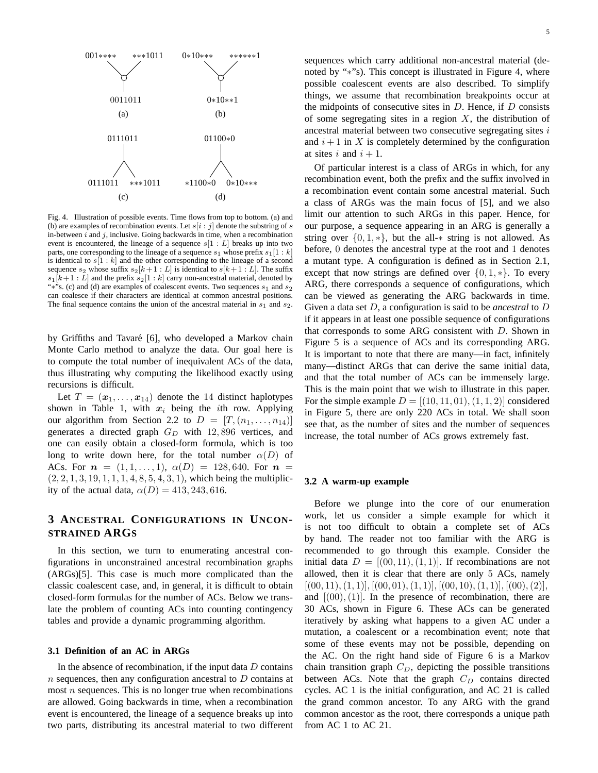

Fig. 4. Illustration of possible events. Time flows from top to bottom. (a) and (b) are examples of recombination events. Let  $s[i : j]$  denote the substring of s in-between  $i$  and  $j$ , inclusive. Going backwards in time, when a recombination event is encountered, the lineage of a sequence  $s[1 : L]$  breaks up into two parts, one corresponding to the lineage of a sequence  $s_1$  whose prefix  $s_1[1 : k]$ is identical to  $s[1:k]$  and the other corresponding to the lineage of a second sequence  $s_2$  whose suffix  $s_2[k+1:L]$  is identical to  $s[k+1:L]$ . The suffix  $s_1[k+1:L]$  and the prefix  $s_2[1:k]$  carry non-ancestral material, denoted by "\*"s. (c) and (d) are examples of coalescent events. Two sequences  $s_1$  and  $s_2$ can coalesce if their characters are identical at common ancestral positions. The final sequence contains the union of the ancestral material in  $s_1$  and  $s_2$ .

by Griffiths and Tavaré [6], who developed a Markov chain Monte Carlo method to analyze the data. Our goal here is to compute the total number of inequivalent ACs of the data, thus illustrating why computing the likelihood exactly using recursions is difficult.

Let  $T = (\mathbf{x}_1, \dots, \mathbf{x}_{14})$  denote the 14 distinct haplotypes shown in Table 1, with  $x_i$  being the *i*th row. Applying our algorithm from Section 2.2 to  $D = [T,(n_1,\ldots,n_{14})]$ generates a directed graph  $G_D$  with 12,896 vertices, and one can easily obtain a closed-form formula, which is too long to write down here, for the total number  $\alpha(D)$  of ACs. For  $n = (1, 1, \ldots, 1), \alpha(D) = 128, 640$ . For  $n =$  $(2, 2, 1, 3, 19, 1, 1, 1, 4, 8, 5, 4, 3, 1)$ , which being the multiplicity of the actual data,  $\alpha(D) = 413, 243, 616$ .

# **3 ANCESTRAL CONFIGURATIONS IN UNCON-STRAINED ARGS**

In this section, we turn to enumerating ancestral configurations in unconstrained ancestral recombination graphs (ARGs)[5]. This case is much more complicated than the classic coalescent case, and, in general, it is difficult to obtain closed-form formulas for the number of ACs. Below we translate the problem of counting ACs into counting contingency tables and provide a dynamic programming algorithm.

#### **3.1 Definition of an AC in ARGs**

In the absence of recombination, if the input data  $D$  contains  $n$  sequences, then any configuration ancestral to  $D$  contains at most  $n$  sequences. This is no longer true when recombinations are allowed. Going backwards in time, when a recombination event is encountered, the lineage of a sequence breaks up into two parts, distributing its ancestral material to two different

sequences which carry additional non-ancestral material (denoted by "∗"s). This concept is illustrated in Figure 4, where possible coalescent events are also described. To simplify things, we assume that recombination breakpoints occur at the midpoints of consecutive sites in  $D$ . Hence, if  $D$  consists of some segregating sites in a region  $X$ , the distribution of ancestral material between two consecutive segregating sites  $i$ and  $i + 1$  in X is completely determined by the configuration at sites i and  $i + 1$ .

Of particular interest is a class of ARGs in which, for any recombination event, both the prefix and the suffix involved in a recombination event contain some ancestral material. Such a class of ARGs was the main focus of [5], and we also limit our attention to such ARGs in this paper. Hence, for our purpose, a sequence appearing in an ARG is generally a string over  $\{0, 1, *\}$ , but the all- $*$  string is not allowed. As before, 0 denotes the ancestral type at the root and 1 denotes a mutant type. A configuration is defined as in Section 2.1, except that now strings are defined over  $\{0, 1, *\}$ . To every ARG, there corresponds a sequence of configurations, which can be viewed as generating the ARG backwards in time. Given a data set D, a configuration is said to be *ancestral* to D if it appears in at least one possible sequence of configurations that corresponds to some ARG consistent with  $D$ . Shown in Figure 5 is a sequence of ACs and its corresponding ARG. It is important to note that there are many—in fact, infinitely many—distinct ARGs that can derive the same initial data, and that the total number of ACs can be immensely large. This is the main point that we wish to illustrate in this paper. For the simple example  $D = [(10, 11, 01), (1, 1, 2)]$  considered in Figure 5, there are only 220 ACs in total. We shall soon see that, as the number of sites and the number of sequences increase, the total number of ACs grows extremely fast.

#### **3.2 A warm-up example**

Before we plunge into the core of our enumeration work, let us consider a simple example for which it is not too difficult to obtain a complete set of ACs by hand. The reader not too familiar with the ARG is recommended to go through this example. Consider the initial data  $D = [(00, 11), (1, 1)]$ . If recombinations are not allowed, then it is clear that there are only 5 ACs, namely  $[(00, 11), (1, 1)], [(00, 01), (1, 1)], [(00, 10), (1, 1)], [(00), (2)],$ and  $[(00), (1)]$ . In the presence of recombination, there are 30 ACs, shown in Figure 6. These ACs can be generated iteratively by asking what happens to a given AC under a mutation, a coalescent or a recombination event; note that some of these events may not be possible, depending on the AC. On the right hand side of Figure 6 is a Markov chain transition graph  $C_D$ , depicting the possible transitions between ACs. Note that the graph  $C_D$  contains directed cycles. AC 1 is the initial configuration, and AC 21 is called the grand common ancestor. To any ARG with the grand common ancestor as the root, there corresponds a unique path from AC 1 to AC 21.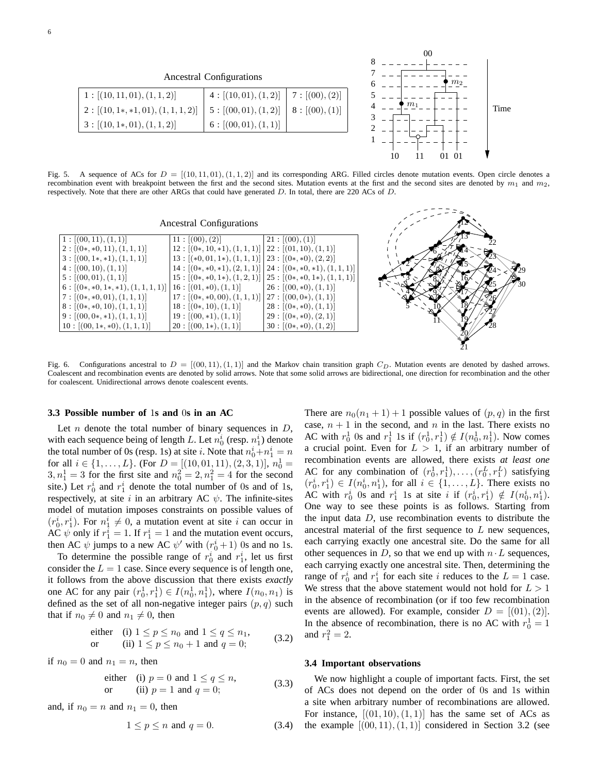Ancestral Configurations

| 1: [(10, 11, 01), (1, 1, 2)]          | 4: [(10, 01), (1, 2)] | 7 : $[(00), (2)]$ |
|---------------------------------------|-----------------------|-------------------|
| $2: [(10, 1*, *1, 01), (1, 1, 1, 2)]$ | 5: [(00, 01), (1, 2)] | 8: [(00), (1)]    |
| $3: [(10, 1*, 01), (1, 1, 2)]$        | 6: [(00, 01), (1, 1)] |                   |



12 13

30 29

Fig. 5. A sequence of ACs for  $D = [(10, 11, 01), (1, 1, 2)]$  and its corresponding ARG. Filled circles denote mutation events. Open circle denotes a recombination event with breakpoint between the first and the second sites. Mutation events at the first and the second sites are denoted by  $m_1$  and  $m_2$ , respectively. Note that there are other ARGs that could have generated D. In total, there are 220 ACs of D.

# Ancestral Configurations

| 1: [(00, 11), (1, 1)]                 | 11: [(00), (2)]                                       | [21:[(00),(1)]                                                      |                 |
|---------------------------------------|-------------------------------------------------------|---------------------------------------------------------------------|-----------------|
| $2: [(0*, *0, 11), (1, 1, 1)]$        | $12: [(0*,10,*1),(1,1,1)] \mid 22: [(01,10),(1,1)]$   |                                                                     |                 |
| $3: [(00, 1*, *1), (1, 1, 1)]$        | $13: [(*0,01,1*), (1,1,1)] \mid 23: [(0*,*0), (2,2)]$ |                                                                     |                 |
| 4: [(00, 10), (1, 1)]                 |                                                       | $14: [(0*,*0,*1), (2,1,1)] \mid 24: [(0*,*0,*1), (1,1,1)]$          | $\mathcal{L}_4$ |
| 5: [(00, 01), (1, 1)]                 |                                                       | $15: [(0*, *0, 1*), (1, 2, 1)] \mid 25 : [(0*, *0, 1*), (1, 1, 1)]$ |                 |
| $6: [(0*, *0, 1*, *1), (1, 1, 1, 1)]$ | $16: [(01, *0), (1, 1)]$                              | $26: [(00, *0), (1, 1)]$                                            | 125             |
| $7: [(0*, *0, 01), (1, 1, 1)]$        | $17: [(0*, *0, 00), (1, 1, 1)]$                       | $[27: [(00, 0*), (1, 1)]$                                           |                 |
| $8: [(0*, *0, 10), (1, 1, 1)]$        | $18: [(0*,10),(1,1)]$                                 | $28: [(0*, *0), (1, 1)]$                                            |                 |
| $9: [(00, 0*, *1), (1, 1, 1)]$        | $19: [(00, *1), (1, 1)]$                              | $29: [(0*, *0), (2, 1)]$                                            |                 |
| $10: [(00, 1*, *0), (1, 1, 1)]$       | $20: [(00, 1*), (1, 1)]$                              | $30: [(0*, *0), (1, 2)]$                                            | 28              |
|                                       |                                                       |                                                                     |                 |

Fig. 6. Configurations ancestral to  $D = [(00, 11), (1, 1)]$  and the Markov chain transition graph  $C_D$ . Mutation events are denoted by dashed arrows. Coalescent and recombination events are denoted by solid arrows. Note that some solid arrows are bidirectional, one direction for recombination and the other for coalescent. Unidirectional arrows denote coalescent events.

#### **3.3 Possible number of** 1**s and** 0**s in an AC**

Let  $n$  denote the total number of binary sequences in  $D$ , with each sequence being of length L. Let  $n_0^i$  (resp.  $n_1^i$ ) denote the total number of 0s (resp. 1s) at site *i*. Note that  $n_0^i + n_1^i = n$ for all  $i \in \{1, ..., L\}$ . (For  $D = [(10, 01, 11), (2, 3, 1)], n_0^1 =$  $3, n_1^1 = 3$  for the first site and  $n_0^2 = 2, n_1^2 = 4$  for the second site.) Let  $r_0^i$  and  $r_1^i$  denote the total number of 0s and of 1s, respectively, at site i in an arbitrary AC  $\psi$ . The infinite-sites model of mutation imposes constraints on possible values of  $(r_0^i, r_1^i)$ . For  $n_1^i \neq 0$ , a mutation event at site i can occur in AC  $\psi$  only if  $r_1^i = 1$ . If  $r_1^i = 1$  and the mutation event occurs, then AC  $\psi$  jumps to a new AC  $\psi'$  with  $(r_0^i + 1)$  0s and no 1s.

To determine the possible range of  $r_0^i$  and  $r_1^i$ , let us first consider the  $L = 1$  case. Since every sequence is of length one, it follows from the above discussion that there exists *exactly* one AC for any pair  $(r_0^1, r_1^1) \in I(n_0^1, n_1^1)$ , where  $I(n_0, n_1)$  is defined as the set of all non-negative integer pairs  $(p, q)$  such that if  $n_0 \neq 0$  and  $n_1 \neq 0$ , then

either (i) 
$$
1 \le p \le n_0
$$
 and  $1 \le q \le n_1$ ,  
or (ii)  $1 \le p \le n_0 + 1$  and  $q = 0$ ; (3.2)

if  $n_0 = 0$  and  $n_1 = n$ , then

either (i) 
$$
p = 0
$$
 and  $1 \le q \le n$ ,  
or (ii)  $p = 1$  and  $q = 0$ ; (3.3)

and, if  $n_0 = n$  and  $n_1 = 0$ , then

$$
1 \le p \le n \text{ and } q = 0. \tag{3.4}
$$

There are  $n_0(n_1 + 1) + 1$  possible values of  $(p, q)$  in the first case,  $n + 1$  in the second, and n in the last. There exists no AC with  $r_0^1$  0s and  $r_1^1$  1s if  $(r_0^1, r_1^1) \notin I(n_0^1, n_1^1)$ . Now comes a crucial point. Even for  $L > 1$ , if an arbitrary number of recombination events are allowed, there exists *at least one* AC for any combination of  $(r_0^1, r_1^1), \ldots, (r_0^L, r_1^L)$  satisfying  $(r_0^i, r_1^i) \in I(n_0^i, n_1^i)$ , for all  $i \in \{1, \ldots, L\}$ . There exists no AC with  $r_0^i$  0s and  $r_1^i$  1s at site i if  $(r_0^i, r_1^i) \notin I(n_0^i, n_1^i)$ . One way to see these points is as follows. Starting from the input data  $D$ , use recombination events to distribute the ancestral material of the first sequence to  $L$  new sequences, each carrying exactly one ancestral site. Do the same for all other sequences in D, so that we end up with  $n \cdot L$  sequences, each carrying exactly one ancestral site. Then, determining the range of  $r_0^i$  and  $r_1^i$  for each site i reduces to the  $L = 1$  case. We stress that the above statement would not hold for  $L > 1$ in the absence of recombination (or if too few recombination events are allowed). For example, consider  $D = [(01), (2)].$ In the absence of recombination, there is no AC with  $r_0^1 = 1$ and  $r_1^2 = 2$ .

#### **3.4 Important observations**

We now highlight a couple of important facts. First, the set of ACs does not depend on the order of 0s and 1s within a site when arbitrary number of recombinations are allowed. For instance,  $[(01, 10), (1, 1)]$  has the same set of ACs as the example  $[(00, 11), (1, 1)]$  considered in Section 3.2 (see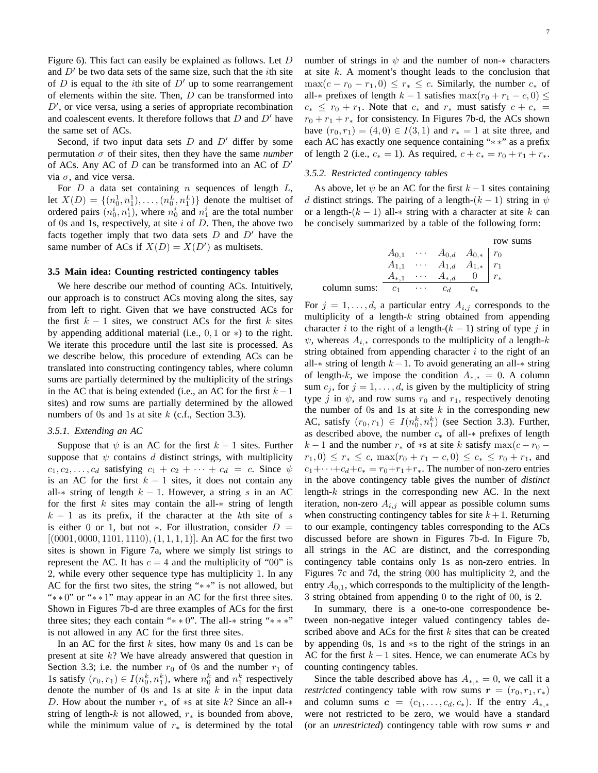Figure 6). This fact can easily be explained as follows. Let D and  $D'$  be two data sets of the same size, such that the *i*th site of D is equal to the *i*th site of  $D'$  up to some rearrangement of elements within the site. Then,  $D$  can be transformed into  $D'$ , or vice versa, using a series of appropriate recombination and coalescent events. It therefore follows that  $D$  and  $D'$  have the same set of ACs.

Second, if two input data sets  $D$  and  $D'$  differ by some permutation  $\sigma$  of their sites, then they have the same *number* of ACs. Any AC of  $D$  can be transformed into an AC of  $D'$ via  $\sigma$ , and vice versa.

For  $D$  a data set containing  $n$  sequences of length  $L$ , let  $X(D) = \{(n_0^1, n_1^1), \dots, (n_0^L, n_1^L)\}\$  denote the multiset of ordered pairs  $(n_0^i, n_1^i)$ , where  $n_0^i$  and  $n_1^i$  are the total number of 0s and 1s, respectively, at site  $i$  of  $D$ . Then, the above two facts together imply that two data sets  $D$  and  $D'$  have the same number of ACs if  $X(D) = X(D')$  as multisets.

#### **3.5 Main idea: Counting restricted contingency tables**

We here describe our method of counting ACs. Intuitively, our approach is to construct ACs moving along the sites, say from left to right. Given that we have constructed ACs for the first  $k - 1$  sites, we construct ACs for the first k sites by appending additional material (i.e., 0, 1 or ∗) to the right. We iterate this procedure until the last site is processed. As we describe below, this procedure of extending ACs can be translated into constructing contingency tables, where column sums are partially determined by the multiplicity of the strings in the AC that is being extended (i.e., an AC for the first  $k-1$ sites) and row sums are partially determined by the allowed numbers of 0s and 1s at site  $k$  (c.f., Section 3.3).

#### *3.5.1. Extending an AC*

Suppose that  $\psi$  is an AC for the first  $k - 1$  sites. Further suppose that  $\psi$  contains  $d$  distinct strings, with multiplicity  $c_1, c_2, \ldots, c_d$  satisfying  $c_1 + c_2 + \cdots + c_d = c$ . Since  $\psi$ is an AC for the first  $k - 1$  sites, it does not contain any all- $*$  string of length  $k - 1$ . However, a string s in an AC for the first  $k$  sites may contain the all- $*$  string of length  $k - 1$  as its prefix, if the character at the kth site of s is either 0 or 1, but not  $\ast$ . For illustration, consider  $D =$  $[(0001, 0000, 1101, 1110), (1, 1, 1, 1)]$ . An AC for the first two sites is shown in Figure 7a, where we simply list strings to represent the AC. It has  $c = 4$  and the multiplicity of "00" is 2, while every other sequence type has multiplicity 1. In any AC for the first two sites, the string "∗ ∗" is not allowed, but "\* \* 0" or "\* \* 1" may appear in an AC for the first three sites. Shown in Figures 7b-d are three examples of ACs for the first three sites; they each contain "\* \* 0". The all-\* string "\* \* \*" is not allowed in any AC for the first three sites.

In an AC for the first  $k$  sites, how many 0s and 1s can be present at site  $k$ ? We have already answered that question in Section 3.3; i.e. the number  $r_0$  of 0s and the number  $r_1$  of 1s satisfy  $(r_0, r_1) \in I(n_0^k, n_1^k)$ , where  $n_0^k$  and  $n_1^k$  respectively denote the number of 0s and 1s at site  $k$  in the input data D. How about the number  $r_*$  of  $*$ s at site k? Since an all- $*$ string of length-k is not allowed,  $r_*$  is bounded from above, while the minimum value of  $r_*$  is determined by the total sums

number of strings in  $\psi$  and the number of non- $*$  characters at site  $k$ . A moment's thought leads to the conclusion that  $\max(c - r_0 - r_1, 0) \leq r_* \leq c$ . Similarly, the number  $c_*$  of all- $*$  prefixes of length  $k - 1$  satisfies max $(r_0 + r_1 - c, 0) \leq$  $c_* \leq r_0 + r_1$ . Note that  $c_*$  and  $r_*$  must satisfy  $c + c_*$  $r_0 + r_1 + r_*$  for consistency. In Figures 7b-d, the ACs shown have  $(r_0, r_1) = (4, 0) \in I(3, 1)$  and  $r_* = 1$  at site three, and each AC has exactly one sequence containing "∗ ∗" as a prefix of length 2 (i.e.,  $c_* = 1$ ). As required,  $c + c_* = r_0 + r_1 + r_*$ .

#### *3.5.2. Restricted contingency tables*

As above, let  $\psi$  be an AC for the first  $k-1$  sites containing d distinct strings. The pairing of a length- $(k-1)$  string in  $\psi$ or a length- $(k - 1)$  all- $*$  string with a character at site k can be concisely summarized by a table of the following form:

|              |       |                              |                                                                                                                                                                                   | row |
|--------------|-------|------------------------------|-----------------------------------------------------------------------------------------------------------------------------------------------------------------------------------|-----|
|              |       |                              |                                                                                                                                                                                   |     |
|              |       |                              |                                                                                                                                                                                   |     |
|              |       |                              | $\left. \begin{array}{cccc} A_{0,1} & \cdots & A_{0,d} & A_{0,*} & r_0 \\ A_{1,1} & \cdots & A_{1,d} & A_{1,*} & r_1 \\ A_{*,1} & \cdots & A_{*,d} & 0 & r_* \end{array} \right $ |     |
| column sums: | $c_1$ | $\sim$ 100 $\sim$ 100 $\sim$ | $c_d$                                                                                                                                                                             |     |

For  $j = 1, \ldots, d$ , a particular entry  $A_{i,j}$  corresponds to the multiplicity of a length- $k$  string obtained from appending character i to the right of a length- $(k - 1)$  string of type j in  $\psi$ , whereas  $A_{i,*}$  corresponds to the multiplicity of a length-k string obtained from appending character  $i$  to the right of an all- $*$  string of length  $k-1$ . To avoid generating an all- $*$  string of length-k, we impose the condition  $A_{*,*} = 0$ . A column sum  $c_j$ , for  $j = 1, \ldots, d$ , is given by the multiplicity of string type j in  $\psi$ , and row sums  $r_0$  and  $r_1$ , respectively denoting the number of 0s and 1s at site  $k$  in the corresponding new AC, satisfy  $(r_0, r_1) \in I(n_0^k, n_1^k)$  (see Section 3.3). Further, as described above, the number  $c_*$  of all- $*$  prefixes of length  $k-1$  and the number  $r_*$  of  $*$ s at site k satisfy max $(c - r_0$  $r_1, 0 \leq r_* \leq c$ ,  $\max(r_0 + r_1 - c, 0) \leq c_* \leq r_0 + r_1$ , and  $c_1+\cdots+c_d+c_* = r_0+r_1+r_*$ . The number of non-zero entries in the above contingency table gives the number of *distinct* length- $k$  strings in the corresponding new AC. In the next iteration, non-zero  $A_{i,j}$  will appear as possible column sums when constructing contingency tables for site  $k + 1$ . Returning to our example, contingency tables corresponding to the ACs discussed before are shown in Figures 7b-d. In Figure 7b, all strings in the AC are distinct, and the corresponding contingency table contains only 1s as non-zero entries. In Figures 7c and 7d, the string 000 has multiplicity 2, and the entry  $A_{0,1}$ , which corresponds to the multiplicity of the length-3 string obtained from appending 0 to the right of 00, is 2.

In summary, there is a one-to-one correspondence between non-negative integer valued contingency tables described above and ACs for the first  $k$  sites that can be created by appending 0s, 1s and ∗s to the right of the strings in an AC for the first  $k - 1$  sites. Hence, we can enumerate ACs by counting contingency tables.

Since the table described above has  $A_{*,*} = 0$ , we call it a *restricted* contingency table with row sums  $r = (r_0, r_1, r_*)$ and column sums  $c = (c_1, \ldots, c_d, c_*)$ . If the entry  $A_{*,*}$ were not restricted to be zero, we would have a standard (or an *unrestricted*) contingency table with row sums  $r$  and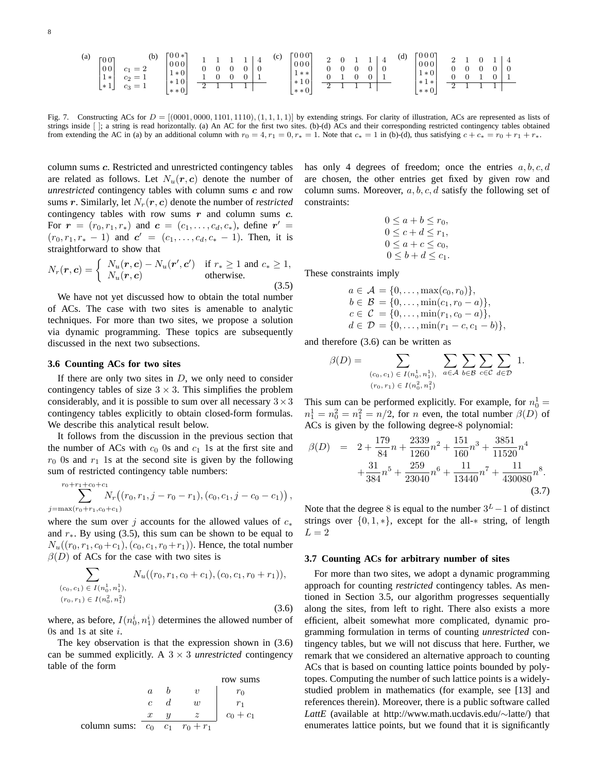| (a) | EO OT<br>v v<br>0 <sub>0</sub><br>. $1 * 1$<br>$*1$ | (b)<br>$-$<br>$\scriptstyle{c_2}$<br>$-$<br>$c_3$<br>$-$ | $\Gamma 0 0 * T$<br>000<br>$1 * 0$<br>$*10$<br>÷ | - |  | ÷<br><b>.</b> | (c) | 0000<br>000<br>$1 * *''$<br>$*10$<br>$\sim$ | $\Omega$<br>∸<br>∸ |  | ≖ | 4<br>$\overline{0}$ | (d) | FO 0 0 1<br>$000_1$<br>$1*01$<br>$*1*$ | -<br>- |  |  |
|-----|-----------------------------------------------------|----------------------------------------------------------|--------------------------------------------------|---|--|---------------|-----|---------------------------------------------|--------------------|--|---|---------------------|-----|----------------------------------------|--------|--|--|
|     |                                                     |                                                          | $***0$                                           |   |  |               |     | $**0$                                       |                    |  |   |                     |     | $**0$                                  |        |  |  |

Fig. 7. Constructing ACs for  $D = [(0001, 0000, 1101, 1110), (1, 1, 1, 1)]$  by extending strings. For clarity of illustration, ACs are represented as lists of strings inside [ ]; a string is read horizontally. (a) An AC for the first two sites. (b)-(d) ACs and their corresponding restricted contingency tables obtained from extending the AC in (a) by an additional column with  $r_0 = 4$ ,  $r_1 = 0$ ,  $r_* = 1$ . Note that  $c_* = 1$  in (b)-(d), thus satisfying  $c + c_* = r_0 + r_1 + r_*$ .

column sums c. Restricted and unrestricted contingency tables are related as follows. Let  $N_u(r, c)$  denote the number of *unrestricted* contingency tables with column sums c and row sums r. Similarly, let  $N_r(r, c)$  denote the number of *restricted* contingency tables with row sums  $r$  and column sums  $c$ . For  $\mathbf{r} = (r_0, r_1, r_*)$  and  $\mathbf{c} = (c_1, \dots, c_d, c_*)$ , define  $\mathbf{r}' =$  $(r_0, r_1, r_* - 1)$  and  $c' = (c_1, \ldots, c_d, c_* - 1)$ . Then, it is straightforward to show that

$$
N_r(\mathbf{r}, \mathbf{c}) = \begin{cases} N_u(\mathbf{r}, \mathbf{c}) - N_u(\mathbf{r}', \mathbf{c}') & \text{if } r_* \ge 1 \text{ and } c_* \ge 1, \\ N_u(\mathbf{r}, \mathbf{c}) & \text{otherwise.} \end{cases}
$$
(3.5)

We have not yet discussed how to obtain the total number of ACs. The case with two sites is amenable to analytic techniques. For more than two sites, we propose a solution via dynamic programming. These topics are subsequently discussed in the next two subsections.

#### **3.6 Counting ACs for two sites**

If there are only two sites in  $D$ , we only need to consider contingency tables of size  $3 \times 3$ . This simplifies the problem considerably, and it is possible to sum over all necessary  $3 \times 3$ contingency tables explicitly to obtain closed-form formulas. We describe this analytical result below.

It follows from the discussion in the previous section that the number of ACs with  $c_0$  0s and  $c_1$  1s at the first site and  $r_0$  0s and  $r_1$  1s at the second site is given by the following sum of restricted contingency table numbers:

$$
\sum_{j=\max(r_0+r_1,c_0+c_1)}^{r_0+r_1+c_0+c_1} N_r((r_0,r_1,j-r_0-r_1),(c_0,c_1,j-c_0-c_1)),
$$

where the sum over j accounts for the allowed values of  $c_*$ and  $r_{\ast}$ . By using (3.5), this sum can be shown to be equal to  $N_u((r_0, r_1, c_0+c_1), (c_0, c_1, r_0+r_1)).$  Hence, the total number  $\beta(D)$  of ACs for the case with two sites is

$$
\sum_{(c_0, c_1) \in I(n_0^1, n_1^1),} N_u((r_0, r_1, c_0 + c_1), (c_0, c_1, r_0 + r_1)),
$$
  

$$
(r_0, r_1) \in I(n_0^2, n_1^2)
$$
 (3.6)

where, as before,  $I(n_0^i, n_1^i)$  determines the allowed number of 0s and 1s at site  $i$ .

The key observation is that the expression shown in (3.6) can be summed explicitly. A  $3 \times 3$  *unrestricted* contingency table of the form

| $a$          | $b$             | $v$   | $r_0$       |
|--------------|-----------------|-------|-------------|
| $c$          | $d$             | $w$   | $r_1$       |
| column sums: | $\frac{x}{c_0}$ | $c_1$ | $r_0 + r_1$ |

has only 4 degrees of freedom; once the entries  $a, b, c, d$ are chosen, the other entries get fixed by given row and column sums. Moreover,  $a, b, c, d$  satisfy the following set of constraints:

$$
0 \le a + b \le r_0, 0 \le c + d \le r_1, 0 \le a + c \le c_0, 0 \le b + d \le c_1.
$$

These constraints imply

$$
a \in \mathcal{A} = \{0, \ldots, \max(c_0, r_0)\},
$$
  
\n
$$
b \in \mathcal{B} = \{0, \ldots, \min(c_1, r_0 - a)\},
$$
  
\n
$$
c \in \mathcal{C} = \{0, \ldots, \min(r_1, c_0 - a)\},
$$
  
\n
$$
d \in \mathcal{D} = \{0, \ldots, \min(r_1 - c, c_1 - b)\},
$$

and therefore (3.6) can be written as

$$
\beta(D) = \sum_{(c_0, c_1) \in I(n_0^1, n_1^1), \atop (r_0, r_1) \in I(n_0^2, n_1^2)} \sum_{a \in A} \sum_{b \in B} \sum_{c \in C} \sum_{d \in D} 1.
$$

This sum can be performed explicitly. For example, for  $n_0^1 =$  $n_1^1 = n_0^2 = n_1^2 = n/2$ , for n even, the total number  $\beta(D)$  of ACs is given by the following degree-8 polynomial:

$$
\beta(D) = 2 + \frac{179}{84}n + \frac{2339}{1260}n^2 + \frac{151}{160}n^3 + \frac{3851}{11520}n^4 + \frac{31}{384}n^5 + \frac{259}{23040}n^6 + \frac{11}{13440}n^7 + \frac{11}{430080}n^8.
$$
\n(3.7)

Note that the degree 8 is equal to the number  $3^L - 1$  of distinct strings over  $\{0, 1, *\}$ , except for the all- $*$  string, of length  $L=2$ 

#### **3.7 Counting ACs for arbitrary number of sites**

For more than two sites, we adopt a dynamic programming approach for counting *restricted* contingency tables. As mentioned in Section 3.5, our algorithm progresses sequentially along the sites, from left to right. There also exists a more efficient, albeit somewhat more complicated, dynamic programming formulation in terms of counting *unrestricted* contingency tables, but we will not discuss that here. Further, we remark that we considered an alternative approach to counting ACs that is based on counting lattice points bounded by polytopes. Computing the number of such lattice points is a widelystudied problem in mathematics (for example, see [13] and references therein). Moreover, there is a public software called *LattE* (available at http://www.math.ucdavis.edu/∼latte/) that enumerates lattice points, but we found that it is significantly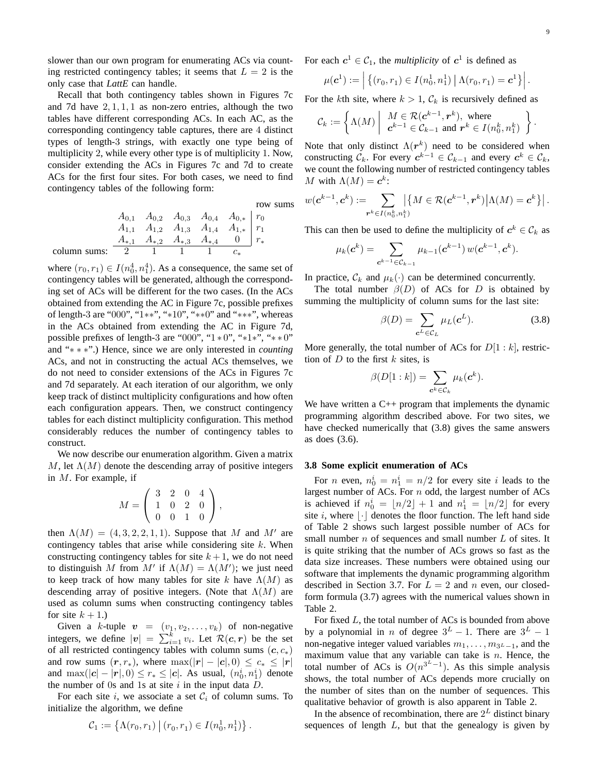slower than our own program for enumerating ACs via counting restricted contingency tables; it seems that  $L = 2$  is the only case that *LattE* can handle.

Recall that both contingency tables shown in Figures 7c and 7d have  $2, 1, 1, 1$  as non-zero entries, although the two tables have different corresponding ACs. In each AC, as the corresponding contingency table captures, there are 4 distinct types of length-3 strings, with exactly one type being of multiplicity 2, while every other type is of multiplicity 1. Now, consider extending the ACs in Figures 7c and 7d to create ACs for the first four sites. For both cases, we need to find contingency tables of the following form:

row sums

$$
A_{0,1} \quad A_{0,2} \quad A_{0,3} \quad A_{0,4} \quad A_{0,*} \quad r_0
$$
  
\n
$$
A_{1,1} \quad A_{1,2} \quad A_{1,3} \quad A_{1,4} \quad A_{1,*} \quad r_1
$$
  
\n
$$
A_{*,1} \quad A_{*,2} \quad A_{*,3} \quad A_{*,4} \quad 0 \quad r_*
$$
  
\ncolumn sums:

where  $(r_0, r_1) \in I(n_0^4, n_1^4)$ . As a consequence, the same set of contingency tables will be generated, although the corresponding set of ACs will be different for the two cases. (In the ACs obtained from extending the AC in Figure 7c, possible prefixes of length-3 are "000", "1∗∗", "∗10", "∗∗0" and "∗∗∗", whereas in the ACs obtained from extending the AC in Figure 7d, possible prefixes of length-3 are "000", "1 ∗ 0", "∗1∗", "∗ ∗ 0" and "∗ ∗ ∗".) Hence, since we are only interested in *counting* ACs, and not in constructing the actual ACs themselves, we do not need to consider extensions of the ACs in Figures 7c and 7d separately. At each iteration of our algorithm, we only keep track of distinct multiplicity configurations and how often each configuration appears. Then, we construct contingency tables for each distinct multiplicity configuration. This method considerably reduces the number of contingency tables to construct.

We now describe our enumeration algorithm. Given a matrix M, let  $\Lambda(M)$  denote the descending array of positive integers in M. For example, if

$$
M = \left(\begin{array}{rrr} 3 & 2 & 0 & 4 \\ 1 & 0 & 2 & 0 \\ 0 & 0 & 1 & 0 \end{array}\right),
$$

then  $\Lambda(M) = (4, 3, 2, 2, 1, 1)$ . Suppose that M and M' are contingency tables that arise while considering site  $k$ . When constructing contingency tables for site  $k + 1$ , we do not need to distinguish M from M' if  $\Lambda(M) = \Lambda(M')$ ; we just need to keep track of how many tables for site k have  $\Lambda(M)$  as descending array of positive integers. (Note that  $\Lambda(M)$  are used as column sums when constructing contingency tables for site  $k + 1$ .)

Given a k-tuple  $\mathbf{v} = (v_1, v_2, \dots, v_k)$  of non-negative integers, we define  $|v| = \sum_{i=1}^{k} v_i$ . Let  $\mathcal{R}(c, r)$  be the set of all restricted contingency tables with column sums  $(c, c_*)$ and row sums  $(r, r_*)$ , where  $\max(|r| - |c|, 0) \leq c_* \leq |r|$ and  $\max(|c| - |r|, 0) \le r_* \le |c|$ . As usual,  $(n_0^i, n_1^i)$  denote the number of 0s and 1s at site  $i$  in the input data  $D$ .

For each site i, we associate a set  $C_i$  of column sums. To initialize the algorithm, we define

$$
C_1 := \left\{ \Lambda(r_0, r_1) \mid (r_0, r_1) \in I(n_0^1, n_1^1) \right\}.
$$

For each  $c^1 \in C_1$ , the *multiplicity* of  $c^1$  is defined as

$$
\mu(\mathbf{c}^1) := \left| \left\{ (r_0, r_1) \in I(n_0^1, n_1^1) \, \big| \, \Lambda(r_0, r_1) = \mathbf{c}^1 \right\} \right|.
$$

For the kth site, where  $k > 1$ ,  $\mathcal{C}_k$  is recursively defined as

$$
\mathcal{C}_k := \left\{ \Lambda(M) \middle| \begin{array}{c} M \in \mathcal{R}(c^{k-1}, r^k), \text{ where} \\ c^{k-1} \in \mathcal{C}_{k-1} \text{ and } r^k \in I(n_0^k, n_1^k) \end{array} \right\}.
$$

Note that only distinct  $\Lambda(r^k)$  need to be considered when constructing  $C_k$ . For every  $c^{k-1} \in C_{k-1}$  and every  $c^k \in C_k$ , we count the following number of restricted contingency tables M with  $\Lambda(M) = \mathbf{c}^k$ :

$$
w(\boldsymbol{c}^{k-1},\boldsymbol{c}^k):=\sum_{\boldsymbol{r}^k\in I(n_0^k,n_1^k)}\bigl|\bigl\{M\in\mathcal{R}(\boldsymbol{c}^{k-1},\boldsymbol{r}^k)\bigl|\Lambda(M)=\boldsymbol{c}^k\bigr\}\bigr|\,.
$$

This can then be used to define the multiplicity of  $c^k \in \mathcal{C}_k$  as

$$
\mu_k(\boldsymbol{c}^k) = \sum_{\boldsymbol{c}^{k-1} \in C_{k-1}} \mu_{k-1}(\boldsymbol{c}^{k-1}) w(\boldsymbol{c}^{k-1}, \boldsymbol{c}^k).
$$

In practice,  $\mathcal{C}_k$  and  $\mu_k(\cdot)$  can be determined concurrently.

The total number  $\beta(D)$  of ACs for D is obtained by summing the multiplicity of column sums for the last site:

$$
\beta(D) = \sum_{\mathbf{c}^L \in \mathcal{C}_L} \mu_L(\mathbf{c}^L). \tag{3.8}
$$

More generally, the total number of ACs for  $D[1:k]$ , restriction of  $D$  to the first  $k$  sites, is

$$
\beta(D[1:k]) = \sum_{\mathbf{c}^k \in \mathcal{C}_k} \mu_k(\mathbf{c}^k).
$$

We have written a  $C_{++}$  program that implements the dynamic programming algorithm described above. For two sites, we have checked numerically that (3.8) gives the same answers as does (3.6).

#### **3.8 Some explicit enumeration of ACs**

For *n* even,  $n_0^i = n_1^i = n/2$  for every site *i* leads to the largest number of ACs. For n odd, the largest number of ACs is achieved if  $n_0^i = \lfloor n/2 \rfloor + 1$  and  $n_1^i = \lfloor n/2 \rfloor$  for every site i, where  $|\cdot|$  denotes the floor function. The left hand side of Table 2 shows such largest possible number of ACs for small number  $n$  of sequences and small number  $L$  of sites. It is quite striking that the number of ACs grows so fast as the data size increases. These numbers were obtained using our software that implements the dynamic programming algorithm described in Section 3.7. For  $L = 2$  and n even, our closedform formula (3.7) agrees with the numerical values shown in Table 2.

For fixed L, the total number of ACs is bounded from above by a polynomial in *n* of degree  $3^L - 1$ . There are  $3^L - 1$ non-negative integer valued variables  $m_1, \ldots, m_{3^L-1}$ , and the maximum value that any variable can take is  $n$ . Hence, the total number of ACs is  $O(n^{3^L-1})$ . As this simple analysis shows, the total number of ACs depends more crucially on the number of sites than on the number of sequences. This qualitative behavior of growth is also apparent in Table 2.

In the absence of recombination, there are  $2^L$  distinct binary sequences of length  $L$ , but that the genealogy is given by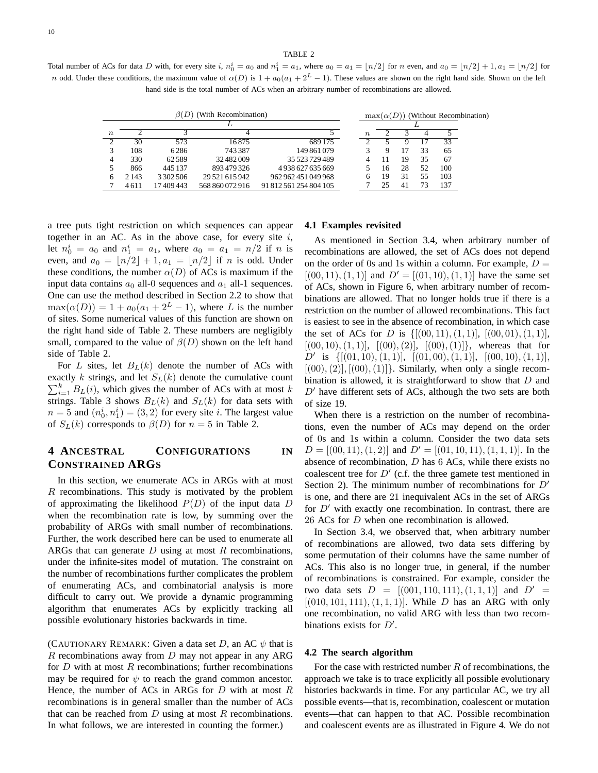TABLE 2

Total number of ACs for data D with, for every site i,  $n_0^i = a_0$  and  $n_1^i = a_1$ , where  $a_0 = a_1 = \lfloor n/2 \rfloor$  for n even, and  $a_0 = \lfloor n/2 \rfloor + 1$ ,  $a_1 = \lfloor n/2 \rfloor$  for *n* odd. Under these conditions, the maximum value of  $\alpha(D)$  is  $1 + a_0(a_1 + 2^L - 1)$ . These values are shown on the right hand side. Shown on the left hand side is the total number of ACs when an arbitrary number of recombinations are allowed.

|                  |         |               |                 |                        |                  | $\max(\alpha(D))$ (Without Recombination) |    |    |     |
|------------------|---------|---------------|-----------------|------------------------|------------------|-------------------------------------------|----|----|-----|
|                  |         |               |                 |                        |                  |                                           |    |    |     |
| $\boldsymbol{n}$ |         |               |                 |                        | $\boldsymbol{n}$ |                                           |    |    |     |
|                  | 30      | 573           | 16875           | 689 175                |                  |                                           |    |    | 33  |
|                  | 108     | 6286          | 743387          | 149 861 079            |                  |                                           |    | 33 | 65  |
|                  | 330     | 62589         | 32482009        | 35 523 729 489         | 4                |                                           | 19 | 35 | 67  |
|                  | 866     | 445 137       | 893 479 326     | 4938627635669          |                  | 16                                        | 28 | 52 | 100 |
| 6                | 2 1 4 3 | 3 3 0 2 5 0 6 | 29 521 615 942  | 962 962 451 049 968    | ი                | 19                                        | 31 | 55 | 103 |
|                  | 4611    | 17 409 443    | 568 860 072 916 | 91 812 561 254 804 105 |                  |                                           | 41 | 73 | 137 |

a tree puts tight restriction on which sequences can appear together in an AC. As in the above case, for every site  $i$ , let  $n_0^i = a_0$  and  $n_1^i = a_1$ , where  $a_0 = a_1 = n/2$  if n is even, and  $a_0 = \lfloor n/2 \rfloor + 1, a_1 = \lfloor n/2 \rfloor$  if n is odd. Under these conditions, the number  $\alpha(D)$  of ACs is maximum if the input data contains  $a_0$  all-0 sequences and  $a_1$  all-1 sequences. One can use the method described in Section 2.2 to show that  $\max(\alpha(D)) = 1 + a_0(a_1 + 2^L - 1)$ , where L is the number of sites. Some numerical values of this function are shown on the right hand side of Table 2. These numbers are negligibly small, compared to the value of  $\beta(D)$  shown on the left hand side of Table 2.

For L sites, let  $B_L(k)$  denote the number of ACs with  $\sum_{i=1}^{k} B_{L}(i)$ , which gives the number of ACs with at most k exactly k strings, and let  $S_L(k)$  denote the cumulative count strings. Table 3 shows  $B_L(k)$  and  $S_L(k)$  for data sets with  $n = 5$  and  $(n_0^i, n_1^i) = (3, 2)$  for every site *i*. The largest value of  $S_L(k)$  corresponds to  $\beta(D)$  for  $n = 5$  in Table 2.

# **4 ANCESTRAL CONFIGURATIONS IN CONSTRAINED ARGS**

In this section, we enumerate ACs in ARGs with at most  $R$  recombinations. This study is motivated by the problem of approximating the likelihood  $P(D)$  of the input data D when the recombination rate is low, by summing over the probability of ARGs with small number of recombinations. Further, the work described here can be used to enumerate all ARGs that can generate  $D$  using at most  $R$  recombinations, under the infinite-sites model of mutation. The constraint on the number of recombinations further complicates the problem of enumerating ACs, and combinatorial analysis is more difficult to carry out. We provide a dynamic programming algorithm that enumerates ACs by explicitly tracking all possible evolutionary histories backwards in time.

(CAUTIONARY REMARK: Given a data set D, an AC  $\psi$  that is  $R$  recombinations away from  $D$  may not appear in any ARG for  $D$  with at most  $R$  recombinations; further recombinations may be required for  $\psi$  to reach the grand common ancestor. Hence, the number of ACs in ARGs for  $D$  with at most  $R$ recombinations is in general smaller than the number of ACs that can be reached from  $D$  using at most  $R$  recombinations. In what follows, we are interested in counting the former.)

#### **4.1 Examples revisited**

As mentioned in Section 3.4, when arbitrary number of recombinations are allowed, the set of ACs does not depend on the order of 0s and 1s within a column. For example,  $D =$  $[(00, 11), (1, 1)]$  and  $D' = [(01, 10), (1, 1)]$  have the same set of ACs, shown in Figure 6, when arbitrary number of recombinations are allowed. That no longer holds true if there is a restriction on the number of allowed recombinations. This fact is easiest to see in the absence of recombination, in which case the set of ACs for D is  $\{[(00, 11), (1, 1)], [(00, 01), (1, 1)],$  $[(00, 10), (1, 1)], [(00), (2)], [(00), (1)]\},$  whereas that for  $D'$  is  $\{[(01, 10), (1, 1)], [(01, 00), (1, 1)], [(00, 10), (1, 1)],$  $[(00), (2)], [(00), (1)]\}.$  Similarly, when only a single recombination is allowed, it is straightforward to show that  $D$  and  $D'$  have different sets of ACs, although the two sets are both of size 19.

When there is a restriction on the number of recombinations, even the number of ACs may depend on the order of 0s and 1s within a column. Consider the two data sets  $D = [(00, 11), (1, 2)]$  and  $D' = [(01, 10, 11), (1, 1, 1)]$ . In the absence of recombination, D has 6 ACs, while there exists no coalescent tree for  $D'$  (c.f. the three gamete test mentioned in Section 2). The minimum number of recombinations for  $D'$ is one, and there are 21 inequivalent ACs in the set of ARGs for  $D'$  with exactly one recombination. In contrast, there are 26 ACs for D when one recombination is allowed.

In Section 3.4, we observed that, when arbitrary number of recombinations are allowed, two data sets differing by some permutation of their columns have the same number of ACs. This also is no longer true, in general, if the number of recombinations is constrained. For example, consider the two data sets  $D = [(001, 110, 111), (1, 1, 1)]$  and  $D' =$  $[(010, 101, 111), (1, 1, 1)]$ . While D has an ARG with only one recombination, no valid ARG with less than two recombinations exists for  $D'$ .

#### **4.2 The search algorithm**

For the case with restricted number  $R$  of recombinations, the approach we take is to trace explicitly all possible evolutionary histories backwards in time. For any particular AC, we try all possible events—that is, recombination, coalescent or mutation events—that can happen to that AC. Possible recombination and coalescent events are as illustrated in Figure 4. We do not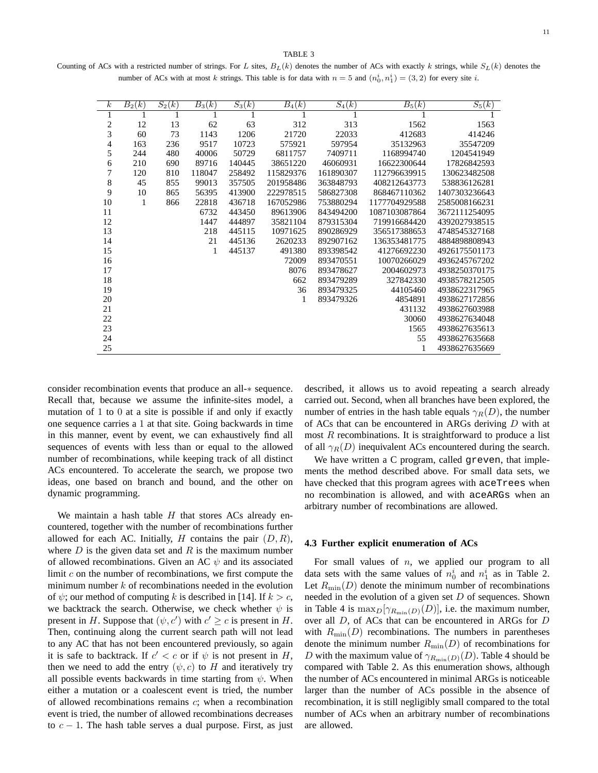#### TABLE 3

Counting of ACs with a restricted number of strings. For L sites,  $B_L(k)$  denotes the number of ACs with exactly k strings, while  $S_L(k)$  denotes the number of ACs with at most k strings. This table is for data with  $n = 5$  and  $(n_0^i, n_1^i) = (3, 2)$  for every site i.

| $\boldsymbol{k}$         | $\overline{B_2(k)}$ | $S_2(k)$ | $\overline{B_3(k)}$ | $S_3(k)$ | $\overline{B_4(k)}$ | $S_4(k)$  | $\overline{B_5(k)}$ | $S_5(k)$      |
|--------------------------|---------------------|----------|---------------------|----------|---------------------|-----------|---------------------|---------------|
| 1                        |                     |          |                     |          |                     |           |                     |               |
| $\overline{\mathbf{c}}$  | 12                  | 13       | 62                  | 63       | 312                 | 313       | 1562                | 1563          |
| 3                        | 60                  | 73       | 1143                | 1206     | 21720               | 22033     | 412683              | 414246        |
| $\overline{\mathcal{L}}$ | 163                 | 236      | 9517                | 10723    | 575921              | 597954    | 35132963            | 35547209      |
| 5                        | 244                 | 480      | 40006               | 50729    | 6811757             | 7409711   | 1168994740          | 1204541949    |
| 6                        | 210                 | 690      | 89716               | 140445   | 38651220            | 46060931  | 16622300644         | 17826842593   |
| 7                        | 120                 | 810      | 118047              | 258492   | 115829376           | 161890307 | 112796639915        | 130623482508  |
| 8                        | 45                  | 855      | 99013               | 357505   | 201958486           | 363848793 | 408212643773        | 538836126281  |
| 9                        | 10                  | 865      | 56395               | 413900   | 222978515           | 586827308 | 868467110362        | 1407303236643 |
| 10                       | 1                   | 866      | 22818               | 436718   | 167052986           | 753880294 | 1177704929588       | 2585008166231 |
| 11                       |                     |          | 6732                | 443450   | 89613906            | 843494200 | 1087103087864       | 3672111254095 |
| 12                       |                     |          | 1447                | 444897   | 35821104            | 879315304 | 719916684420        | 4392027938515 |
| 13                       |                     |          | 218                 | 445115   | 10971625            | 890286929 | 356517388653        | 4748545327168 |
| 14                       |                     |          | 21                  | 445136   | 2620233             | 892907162 | 136353481775        | 4884898808943 |
| 15                       |                     |          | 1                   | 445137   | 491380              | 893398542 | 41276692230         | 4926175501173 |
| 16                       |                     |          |                     |          | 72009               | 893470551 | 10070266029         | 4936245767202 |
| 17                       |                     |          |                     |          | 8076                | 893478627 | 2004602973          | 4938250370175 |
| 18                       |                     |          |                     |          | 662                 | 893479289 | 327842330           | 4938578212505 |
| 19                       |                     |          |                     |          | 36                  | 893479325 | 44105460            | 4938622317965 |
| 20                       |                     |          |                     |          | 1                   | 893479326 | 4854891             | 4938627172856 |
| 21                       |                     |          |                     |          |                     |           | 431132              | 4938627603988 |
| 22                       |                     |          |                     |          |                     |           | 30060               | 4938627634048 |
| 23                       |                     |          |                     |          |                     |           | 1565                | 4938627635613 |
| 24                       |                     |          |                     |          |                     |           | 55                  | 4938627635668 |
| 25                       |                     |          |                     |          |                     |           | 1                   | 4938627635669 |

consider recombination events that produce an all-∗ sequence. Recall that, because we assume the infinite-sites model, a mutation of 1 to 0 at a site is possible if and only if exactly one sequence carries a 1 at that site. Going backwards in time in this manner, event by event, we can exhaustively find all sequences of events with less than or equal to the allowed number of recombinations, while keeping track of all distinct ACs encountered. To accelerate the search, we propose two ideas, one based on branch and bound, and the other on dynamic programming.

We maintain a hash table  $H$  that stores ACs already encountered, together with the number of recombinations further allowed for each AC. Initially, H contains the pair  $(D, R)$ , where  $D$  is the given data set and  $R$  is the maximum number of allowed recombinations. Given an AC  $\psi$  and its associated limit  $c$  on the number of recombinations, we first compute the minimum number  $k$  of recombinations needed in the evolution of  $\psi$ ; our method of computing k is described in [14]. If  $k > c$ , we backtrack the search. Otherwise, we check whether  $\psi$  is present in H. Suppose that  $(\psi, c')$  with  $c' \geq c$  is present in H. Then, continuing along the current search path will not lead to any AC that has not been encountered previously, so again it is safe to backtrack. If  $c' < c$  or if  $\psi$  is not present in H, then we need to add the entry  $(\psi, c)$  to H and iteratively try all possible events backwards in time starting from  $\psi$ . When either a mutation or a coalescent event is tried, the number of allowed recombinations remains c; when a recombination event is tried, the number of allowed recombinations decreases to  $c - 1$ . The hash table serves a dual purpose. First, as just described, it allows us to avoid repeating a search already carried out. Second, when all branches have been explored, the number of entries in the hash table equals  $\gamma_R(D)$ , the number of ACs that can be encountered in ARGs deriving D with at most  $R$  recombinations. It is straightforward to produce a list of all  $\gamma_R(D)$  inequivalent ACs encountered during the search.

We have written a C program, called greven, that implements the method described above. For small data sets, we have checked that this program agrees with aceTrees when no recombination is allowed, and with aceARGs when an arbitrary number of recombinations are allowed.

#### **4.3 Further explicit enumeration of ACs**

For small values of  $n$ , we applied our program to all data sets with the same values of  $n_0^i$  and  $n_1^i$  as in Table 2. Let  $R_{\text{min}}(D)$  denote the minimum number of recombinations needed in the evolution of a given set  $D$  of sequences. Shown in Table 4 is  $\max_D[\gamma_{R_{\min}(D)}(D)]$ , i.e. the maximum number, over all D, of ACs that can be encountered in ARGs for D with  $R_{\text{min}}(D)$  recombinations. The numbers in parentheses denote the minimum number  $R_{\text{min}}(D)$  of recombinations for D with the maximum value of  $\gamma_{R_{\min}(D)}(D)$ . Table 4 should be compared with Table 2. As this enumeration shows, although the number of ACs encountered in minimal ARGs is noticeable larger than the number of ACs possible in the absence of recombination, it is still negligibly small compared to the total number of ACs when an arbitrary number of recombinations are allowed.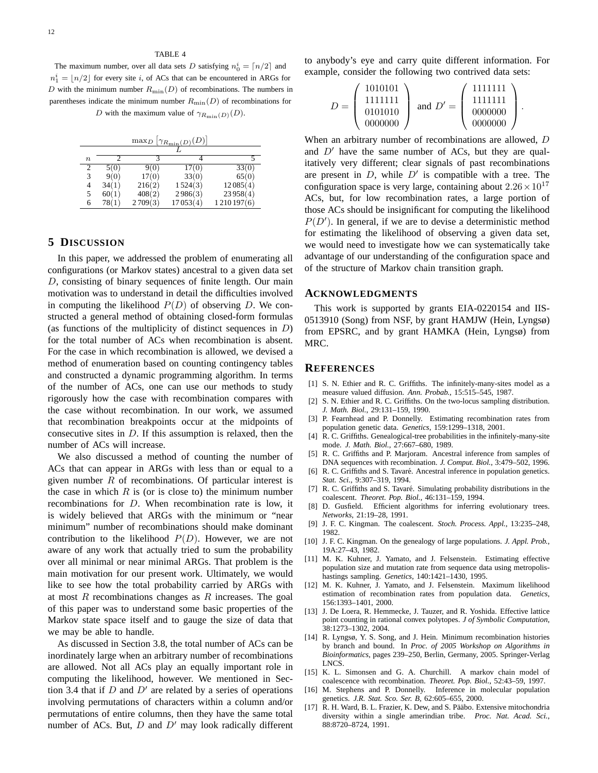#### TABLE 4

The maximum number, over all data sets D satisfying  $n_0^i = \lfloor n/2 \rfloor$  and  $n_1^i = \lfloor n/2 \rfloor$  for every site i, of ACs that can be encountered in ARGs for D with the minimum number  $R_{\text{min}}(D)$  of recombinations. The numbers in parentheses indicate the minimum number  $R_{\text{min}}(D)$  of recombinations for

D with the maximum value of  $\gamma_{R_{\text{min}}(D)}(D)$ .

| $\frac{\max_D  \gamma_{R_{\min}(D)}(D) }{\max_D  \gamma_{R_{\min}(D)}(D) }$ |       |         |          |            |  |  |  |  |  |
|-----------------------------------------------------------------------------|-------|---------|----------|------------|--|--|--|--|--|
|                                                                             |       |         |          |            |  |  |  |  |  |
| $\, n$                                                                      |       |         |          |            |  |  |  |  |  |
| 2                                                                           | 5(0)  | 9(0)    | 17(0)    | 33(0)      |  |  |  |  |  |
| 3                                                                           | 9(0)  | 17(0)   | 33(0)    | 65(0)      |  |  |  |  |  |
| 4                                                                           | 34(1) | 216(2)  | 1524(3)  | 12085(4)   |  |  |  |  |  |
| 5                                                                           | 60(1) | 408(2)  | 2986(3)  | 23958(4)   |  |  |  |  |  |
| 6                                                                           | 78(1) | 2709(3) | 17053(4) | 1210197(6) |  |  |  |  |  |

# **5 DISCUSSION**

In this paper, we addressed the problem of enumerating all configurations (or Markov states) ancestral to a given data set D, consisting of binary sequences of finite length. Our main motivation was to understand in detail the difficulties involved in computing the likelihood  $P(D)$  of observing D. We constructed a general method of obtaining closed-form formulas (as functions of the multiplicity of distinct sequences in  $D$ ) for the total number of ACs when recombination is absent. For the case in which recombination is allowed, we devised a method of enumeration based on counting contingency tables and constructed a dynamic programming algorithm. In terms of the number of ACs, one can use our methods to study rigorously how the case with recombination compares with the case without recombination. In our work, we assumed that recombination breakpoints occur at the midpoints of consecutive sites in  $D$ . If this assumption is relaxed, then the number of ACs will increase.

We also discussed a method of counting the number of ACs that can appear in ARGs with less than or equal to a given number  $R$  of recombinations. Of particular interest is the case in which  $R$  is (or is close to) the minimum number recombinations for D. When recombination rate is low, it is widely believed that ARGs with the minimum or "near minimum" number of recombinations should make dominant contribution to the likelihood  $P(D)$ . However, we are not aware of any work that actually tried to sum the probability over all minimal or near minimal ARGs. That problem is the main motivation for our present work. Ultimately, we would like to see how the total probability carried by ARGs with at most  $R$  recombinations changes as  $R$  increases. The goal of this paper was to understand some basic properties of the Markov state space itself and to gauge the size of data that we may be able to handle.

As discussed in Section 3.8, the total number of ACs can be inordinately large when an arbitrary number of recombinations are allowed. Not all ACs play an equally important role in computing the likelihood, however. We mentioned in Section 3.4 that if  $D$  and  $D'$  are related by a series of operations involving permutations of characters within a column and/or permutations of entire columns, then they have the same total number of ACs. But,  $D$  and  $D'$  may look radically different to anybody's eye and carry quite different information. For example, consider the following two contrived data sets:

$$
D = \left(\begin{array}{c} 1010101 \\ 1111111 \\ 0101010 \\ 0000000 \end{array}\right) \text{ and } D' = \left(\begin{array}{c} 11111111 \\ 1111111 \\ 0000000 \\ 0000000 \end{array}\right).
$$

When an arbitrary number of recombinations are allowed, D and  $D'$  have the same number of ACs, but they are qualitatively very different; clear signals of past recombinations are present in  $D$ , while  $D'$  is compatible with a tree. The configuration space is very large, containing about  $2.26 \times 10^{17}$ ACs, but, for low recombination rates, a large portion of those ACs should be insignificant for computing the likelihood  $P(D')$ . In general, if we are to devise a deterministic method for estimating the likelihood of observing a given data set, we would need to investigate how we can systematically take advantage of our understanding of the configuration space and of the structure of Markov chain transition graph.

#### **ACKNOWLEDGMENTS**

This work is supported by grants EIA-0220154 and IIS-0513910 (Song) from NSF, by grant HAMJW (Hein, Lyngsø) from EPSRC, and by grant HAMKA (Hein, Lyngsø) from MRC.

#### **REFERENCES**

- [1] S. N. Ethier and R. C. Griffiths. The infinitely-many-sites model as a measure valued diffusion. *Ann. Probab.*, 15:515–545, 1987.
- [2] S. N. Ethier and R. C. Griffiths. On the two-locus sampling distribution. *J. Math. Biol.*, 29:131–159, 1990.
- [3] P. Fearnhead and P. Donnelly. Estimating recombination rates from population genetic data. *Genetics*, 159:1299–1318, 2001.
- [4] R. C. Griffiths. Genealogical-tree probabilities in the infinitely-many-site mode. *J. Math. Biol.*, 27:667–680, 1989.
- [5] R. C. Griffiths and P. Marjoram. Ancestral inference from samples of DNA sequences with recombination. *J. Comput. Biol.*, 3:479–502, 1996.
- [6] R. C. Griffiths and S. Tavaré. Ancestral inference in population genetics. *Stat. Sci.*, 9:307–319, 1994.
- [7] R. C. Griffiths and S. Tavaré. Simulating probability distributions in the coalescent. *Theoret. Pop. Biol.*, 46:131–159, 1994.
- [8] D. Gusfield. Efficient algorithms for inferring evolutionary trees. *Networks*, 21:19–28, 1991.
- [9] J. F. C. Kingman. The coalescent. *Stoch. Process. Appl.*, 13:235–248, 1982.
- [10] J. F. C. Kingman. On the genealogy of large populations. *J. Appl. Prob.*, 19A:27–43, 1982.
- [11] M. K. Kuhner, J. Yamato, and J. Felsenstein. Estimating effective population size and mutation rate from sequence data using metropolishastings sampling. *Genetics*, 140:1421–1430, 1995.
- [12] M. K. Kuhner, J. Yamato, and J. Felsenstein. Maximum likelihood estimation of recombination rates from population data. *Genetics*, 156:1393–1401, 2000.
- [13] J. De Loera, R. Hemmecke, J. Tauzer, and R. Yoshida. Effective lattice point counting in rational convex polytopes. *J of Symbolic Computation*, 38:1273–1302, 2004.
- [14] R. Lyngsø, Y. S. Song, and J. Hein. Minimum recombination histories by branch and bound. In *Proc. of 2005 Workshop on Algorithms in Bioinformatics*, pages 239–250, Berlin, Germany, 2005. Springer-Verlag LNCS.
- [15] K. L. Simonsen and G. A. Churchill. A markov chain model of coalescence with recombination. *Theoret. Pop. Biol.*, 52:43–59, 1997.
- [16] M. Stephens and P. Donnelly. Inference in molecular population genetics. *J.R. Stat. Sco. Ser. B*, 62:605–655, 2000.
- [17] R. H. Ward, B. L. Frazier, K. Dew, and S. Pääbo. Extensive mitochondria diversity within a single amerindian tribe. *Proc. Nat. Acad. Sci.*, 88:8720–8724, 1991.